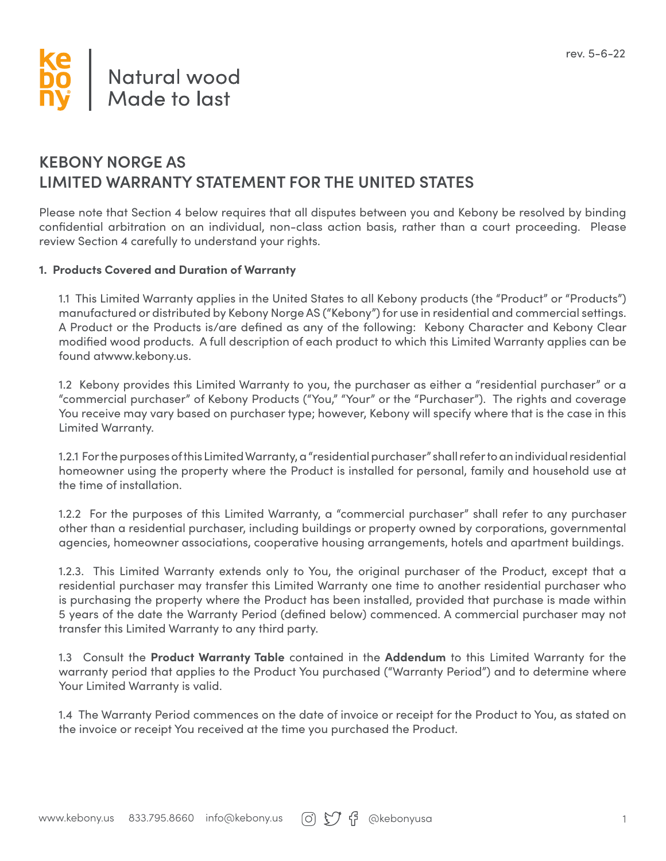# **Natural wood Made to last**

### **KEBONY NORGE AS LIMITED WARRANTY STATEMENT FOR THE UNITED STATES**

Please note that Section 4 below requires that all disputes between you and Kebony be resolved by binding confidential arbitration on an individual, non-class action basis, rather than a court proceeding. Please review Section 4 carefully to understand your rights.

#### **1. Products Covered and Duration of Warranty**

1.1 This Limited Warranty applies in the United States to all Kebony products (the "Product" or "Products") manufactured or distributed by Kebony Norge AS ("Kebony") for use in residential and commercial settings. A Product or the Products is/are defined as any of the following: Kebony Character and Kebony Clear modified wood products. A full description of each product to which this Limited Warranty applies can be found atwww.kebony.us.

1.2 Kebony provides this Limited Warranty to you, the purchaser as either a "residential purchaser" or a "commercial purchaser" of Kebony Products ("You," "Your" or the "Purchaser"). The rights and coverage You receive may vary based on purchaser type; however, Kebony will specify where that is the case in this Limited Warranty.

1.2.1 For the purposes of this Limited Warranty, a "residential purchaser" shall refer to an individual residential homeowner using the property where the Product is installed for personal, family and household use at the time of installation.

1.2.2 For the purposes of this Limited Warranty, a "commercial purchaser" shall refer to any purchaser other than a residential purchaser, including buildings or property owned by corporations, governmental agencies, homeowner associations, cooperative housing arrangements, hotels and apartment buildings.

1.2.3. This Limited Warranty extends only to You, the original purchaser of the Product, except that a residential purchaser may transfer this Limited Warranty one time to another residential purchaser who is purchasing the property where the Product has been installed, provided that purchase is made within 5 years of the date the Warranty Period (defined below) commenced. A commercial purchaser may not transfer this Limited Warranty to any third party.

1.3 Consult the **Product Warranty Table** contained in the **Addendum** to this Limited Warranty for the warranty period that applies to the Product You purchased ("Warranty Period") and to determine where Your Limited Warranty is valid.

1.4 The Warranty Period commences on the date of invoice or receipt for the Product to You, as stated on the invoice or receipt You received at the time you purchased the Product.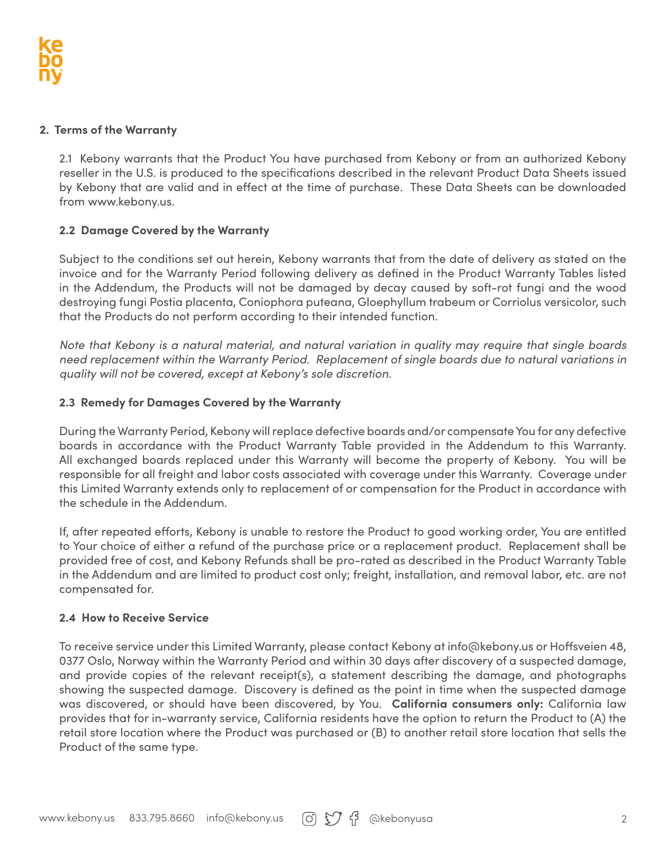#### **2. Terms of the Warranty**

2.1 Kebony warrants that the Product You have purchased from Kebony or from an authorized Kebony reseller in the U.S. is produced to the specifications described in the relevant Product Data Sheets issued by Kebony that are valid and in effect at the time of purchase. These Data Sheets can be downloaded from www.kebony.us.

#### **2.2 Damage Covered by the Warranty**

Subject to the conditions set out herein, Kebony warrants that from the date of delivery as stated on the invoice and for the Warranty Period following delivery as defined in the Product Warranty Tables listed in the Addendum, the Products will not be damaged by decay caused by soft-rot fungi and the wood destroying fungi Postia placenta, Coniophora puteana, Gloephyllum trabeum or Corriolus versicolor, such that the Products do not perform according to their intended function.

*Note that Kebony is a natural material, and natural variation in quality may require that single boards need replacement within the Warranty Period. Replacement of single boards due to natural variations in quality will not be covered, except at Kebony's sole discretion.*

#### **2.3 Remedy for Damages Covered by the Warranty**

During the Warranty Period, Kebony will replace defective boards and/or compensate You for any defective boards in accordance with the Product Warranty Table provided in the Addendum to this Warranty. All exchanged boards replaced under this Warranty will become the property of Kebony. You will be responsible for all freight and labor costs associated with coverage under this Warranty. Coverage under this Limited Warranty extends only to replacement of or compensation for the Product in accordance with the schedule in the Addendum.

If, after repeated efforts, Kebony is unable to restore the Product to good working order, You are entitled to Your choice of either a refund of the purchase price or a replacement product. Replacement shall be provided free of cost, and Kebony Refunds shall be pro-rated as described in the Product Warranty Table in the Addendum and are limited to product cost only; freight, installation, and removal labor, etc. are not compensated for.

#### **2.4 How to Receive Service**

To receive service under this Limited Warranty, please contact Kebony at info@kebony.us or Hoffsveien 48, 0377 Oslo, Norway within the Warranty Period and within 30 days after discovery of a suspected damage, and provide copies of the relevant receipt(s), a statement describing the damage, and photographs showing the suspected damage. Discovery is defined as the point in time when the suspected damage was discovered, or should have been discovered, by You. **California consumers only:** California law provides that for in-warranty service, California residents have the option to return the Product to (A) the retail store location where the Product was purchased or (B) to another retail store location that sells the Product of the same type.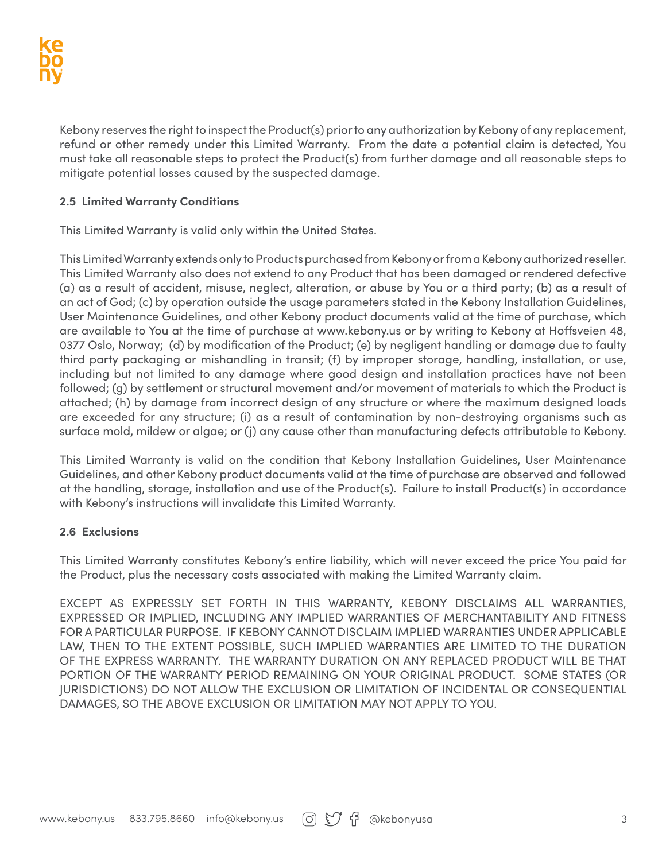Kebony reserves the right to inspect the Product(s) prior to any authorization by Kebony of any replacement, refund or other remedy under this Limited Warranty. From the date a potential claim is detected, You must take all reasonable steps to protect the Product(s) from further damage and all reasonable steps to mitigate potential losses caused by the suspected damage.

#### **2.5 Limited Warranty Conditions**

This Limited Warranty is valid only within the United States.

This Limited Warranty extends only to Products purchased from Kebony or from a Kebony authorized reseller. This Limited Warranty also does not extend to any Product that has been damaged or rendered defective (a) as a result of accident, misuse, neglect, alteration, or abuse by You or a third party; (b) as a result of an act of God; (c) by operation outside the usage parameters stated in the Kebony Installation Guidelines, User Maintenance Guidelines, and other Kebony product documents valid at the time of purchase, which are available to You at the time of purchase at www.kebony.us or by writing to Kebony at Hoffsveien 48, 0377 Oslo, Norway; (d) by modification of the Product; (e) by negligent handling or damage due to faulty third party packaging or mishandling in transit; (f) by improper storage, handling, installation, or use, including but not limited to any damage where good design and installation practices have not been followed; (g) by settlement or structural movement and/or movement of materials to which the Product is attached; (h) by damage from incorrect design of any structure or where the maximum designed loads are exceeded for any structure; (i) as a result of contamination by non-destroying organisms such as surface mold, mildew or algae; or (j) any cause other than manufacturing defects attributable to Kebony.

This Limited Warranty is valid on the condition that Kebony Installation Guidelines, User Maintenance Guidelines, and other Kebony product documents valid at the time of purchase are observed and followed at the handling, storage, installation and use of the Product(s). Failure to install Product(s) in accordance with Kebony's instructions will invalidate this Limited Warranty.

#### **2.6 Exclusions**

This Limited Warranty constitutes Kebony's entire liability, which will never exceed the price You paid for the Product, plus the necessary costs associated with making the Limited Warranty claim.

EXCEPT AS EXPRESSLY SET FORTH IN THIS WARRANTY, KEBONY DISCLAIMS ALL WARRANTIES, EXPRESSED OR IMPLIED, INCLUDING ANY IMPLIED WARRANTIES OF MERCHANTABILITY AND FITNESS FOR A PARTICULAR PURPOSE. IF KEBONY CANNOT DISCLAIM IMPLIED WARRANTIES UNDER APPLICABLE LAW, THEN TO THE EXTENT POSSIBLE, SUCH IMPLIED WARRANTIES ARE LIMITED TO THE DURATION OF THE EXPRESS WARRANTY. THE WARRANTY DURATION ON ANY REPLACED PRODUCT WILL BE THAT PORTION OF THE WARRANTY PERIOD REMAINING ON YOUR ORIGINAL PRODUCT. SOME STATES (OR JURISDICTIONS) DO NOT ALLOW THE EXCLUSION OR LIMITATION OF INCIDENTAL OR CONSEQUENTIAL DAMAGES, SO THE ABOVE EXCLUSION OR LIMITATION MAY NOT APPLY TO YOU.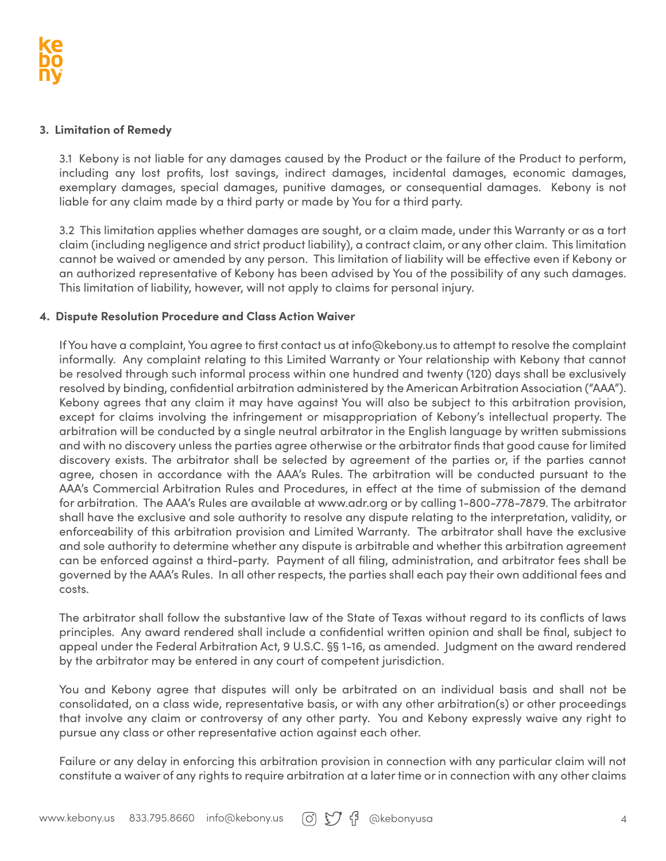#### **3. Limitation of Remedy**

3.1 Kebony is not liable for any damages caused by the Product or the failure of the Product to perform, including any lost profits, lost savings, indirect damages, incidental damages, economic damages, exemplary damages, special damages, punitive damages, or consequential damages. Kebony is not liable for any claim made by a third party or made by You for a third party.

3.2 This limitation applies whether damages are sought, or a claim made, under this Warranty or as a tort claim (including negligence and strict product liability), a contract claim, or any other claim. This limitation cannot be waived or amended by any person. This limitation of liability will be effective even if Kebony or an authorized representative of Kebony has been advised by You of the possibility of any such damages. This limitation of liability, however, will not apply to claims for personal injury.

#### **4. Dispute Resolution Procedure and Class Action Waiver**

If You have a complaint, You agree to first contact us at info@kebony.us to attempt to resolve the complaint informally. Any complaint relating to this Limited Warranty or Your relationship with Kebony that cannot be resolved through such informal process within one hundred and twenty (120) days shall be exclusively resolved by binding, confidential arbitration administered by the American Arbitration Association ("AAA"). Kebony agrees that any claim it may have against You will also be subject to this arbitration provision, except for claims involving the infringement or misappropriation of Kebony's intellectual property. The arbitration will be conducted by a single neutral arbitrator in the English language by written submissions and with no discovery unless the parties agree otherwise or the arbitrator finds that good cause for limited discovery exists. The arbitrator shall be selected by agreement of the parties or, if the parties cannot agree, chosen in accordance with the AAA's Rules. The arbitration will be conducted pursuant to the AAA's Commercial Arbitration Rules and Procedures, in effect at the time of submission of the demand for arbitration. The AAA's Rules are available at www.adr.org or by calling 1-800-778-7879. The arbitrator shall have the exclusive and sole authority to resolve any dispute relating to the interpretation, validity, or enforceability of this arbitration provision and Limited Warranty. The arbitrator shall have the exclusive and sole authority to determine whether any dispute is arbitrable and whether this arbitration agreement can be enforced against a third-party. Payment of all filing, administration, and arbitrator fees shall be governed by the AAA's Rules. In all other respects, the parties shall each pay their own additional fees and costs.

The arbitrator shall follow the substantive law of the State of Texas without regard to its conflicts of laws principles. Any award rendered shall include a confidential written opinion and shall be final, subject to appeal under the Federal Arbitration Act, 9 U.S.C. §§ 1-16, as amended. Judgment on the award rendered by the arbitrator may be entered in any court of competent jurisdiction.

You and Kebony agree that disputes will only be arbitrated on an individual basis and shall not be consolidated, on a class wide, representative basis, or with any other arbitration(s) or other proceedings that involve any claim or controversy of any other party. You and Kebony expressly waive any right to pursue any class or other representative action against each other.

Failure or any delay in enforcing this arbitration provision in connection with any particular claim will not constitute a waiver of any rights to require arbitration at a later time or in connection with any other claims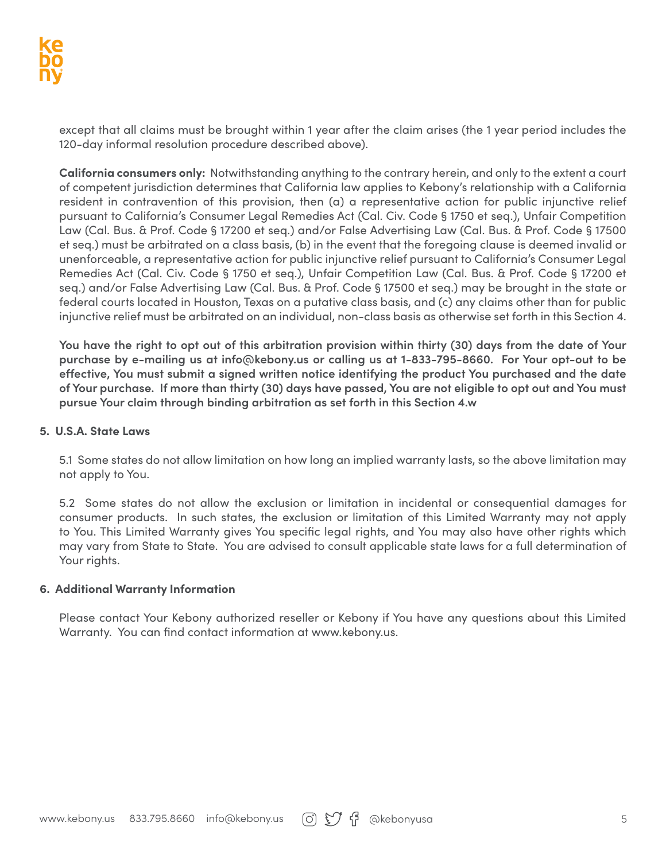except that all claims must be brought within 1 year after the claim arises (the 1 year period includes the 120-day informal resolution procedure described above).

**California consumers only:** Notwithstanding anything to the contrary herein, and only to the extent a court of competent jurisdiction determines that California law applies to Kebony's relationship with a California resident in contravention of this provision, then (a) a representative action for public injunctive relief pursuant to California's Consumer Legal Remedies Act (Cal. Civ. Code § 1750 et seq.), Unfair Competition Law (Cal. Bus. & Prof. Code § 17200 et seq.) and/or False Advertising Law (Cal. Bus. & Prof. Code § 17500 et seq.) must be arbitrated on a class basis, (b) in the event that the foregoing clause is deemed invalid or unenforceable, a representative action for public injunctive relief pursuant to California's Consumer Legal Remedies Act (Cal. Civ. Code § 1750 et seq.), Unfair Competition Law (Cal. Bus. & Prof. Code § 17200 et seq.) and/or False Advertising Law (Cal. Bus. & Prof. Code § 17500 et seq.) may be brought in the state or federal courts located in Houston, Texas on a putative class basis, and (c) any claims other than for public injunctive relief must be arbitrated on an individual, non-class basis as otherwise set forth in this Section 4.

**You have the right to opt out of this arbitration provision within thirty (30) days from the date of Your purchase by e-mailing us at info@kebony.us or calling us at 1-833-795-8660. For Your opt-out to be effective, You must submit a signed written notice identifying the product You purchased and the date of Your purchase. If more than thirty (30) days have passed, You are not eligible to opt out and You must pursue Your claim through binding arbitration as set forth in this Section 4.w**

#### **5. U.S.A. State Laws**

5.1 Some states do not allow limitation on how long an implied warranty lasts, so the above limitation may not apply to You.

5.2 Some states do not allow the exclusion or limitation in incidental or consequential damages for consumer products. In such states, the exclusion or limitation of this Limited Warranty may not apply to You. This Limited Warranty gives You specific legal rights, and You may also have other rights which may vary from State to State. You are advised to consult applicable state laws for a full determination of Your rights.

#### **6. Additional Warranty Information**

Please contact Your Kebony authorized reseller or Kebony if You have any questions about this Limited Warranty. You can find contact information at www.kebony.us.